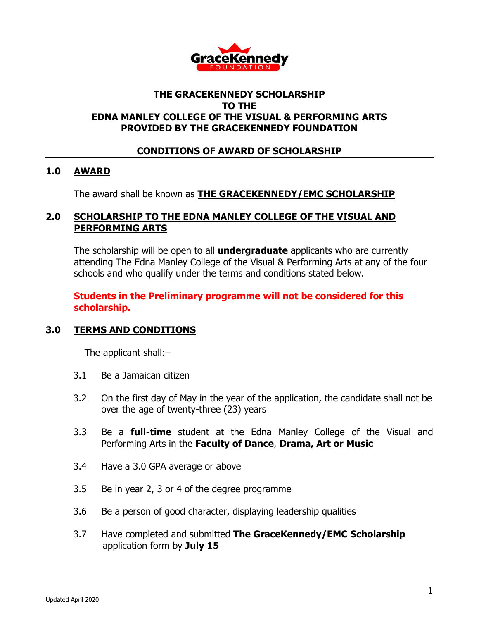

## **THE GRACEKENNEDY SCHOLARSHIP TO THE EDNA MANLEY COLLEGE OF THE VISUAL & PERFORMING ARTS PROVIDED BY THE GRACEKENNEDY FOUNDATION**

## **CONDITIONS OF AWARD OF SCHOLARSHIP**

#### **1.0 AWARD**

The award shall be known as **THE GRACEKENNEDY/EMC SCHOLARSHIP**

#### **2.0 SCHOLARSHIP TO THE EDNA MANLEY COLLEGE OF THE VISUAL AND PERFORMING ARTS**

The scholarship will be open to all **undergraduate** applicants who are currently attending The Edna Manley College of the Visual & Performing Arts at any of the four schools and who qualify under the terms and conditions stated below.

#### **Students in the Preliminary programme will not be considered for this scholarship.**

## **3.0 TERMS AND CONDITIONS**

The applicant shall:–

- 3.1 Be a Jamaican citizen
- 3.2 On the first day of May in the year of the application, the candidate shall not be over the age of twenty-three (23) years
- 3.3 Be a **full-time** student at the Edna Manley College of the Visual and Performing Arts in the **Faculty of Dance**, **Drama, Art or Music**
- 3.4 Have a 3.0 GPA average or above
- 3.5 Be in year 2, 3 or 4 of the degree programme
- 3.6 Be a person of good character, displaying leadership qualities
- 3.7 Have completed and submitted **The GraceKennedy/EMC Scholarship** application form by **July 15**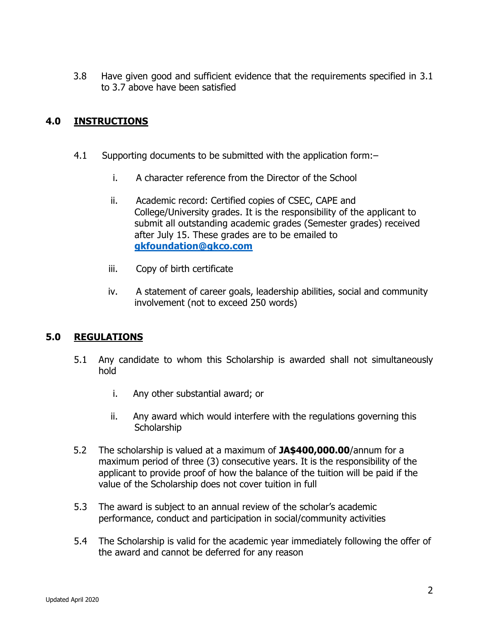3.8 Have given good and sufficient evidence that the requirements specified in 3.1 to 3.7 above have been satisfied

# **4.0 INSTRUCTIONS**

- 4.1 Supporting documents to be submitted with the application form:–
	- i. A character reference from the Director of the School
	- ii. Academic record: Certified copies of CSEC, CAPE and College/University grades. It is the responsibility of the applicant to submit all outstanding academic grades (Semester grades) received after July 15. These grades are to be emailed to **[gkfoundation@gkco.com](mailto:gkfoundation@gkco.com)**
	- iii. Copy of birth certificate
	- iv. A statement of career goals, leadership abilities, social and community involvement (not to exceed 250 words)

## **5.0 REGULATIONS**

- 5.1 Any candidate to whom this Scholarship is awarded shall not simultaneously hold
	- i. Any other substantial award; or
	- ii. Any award which would interfere with the regulations governing this **Scholarship**
- 5.2 The scholarship is valued at a maximum of **JA\$400,000.00**/annum for a maximum period of three (3) consecutive years. It is the responsibility of the applicant to provide proof of how the balance of the tuition will be paid if the value of the Scholarship does not cover tuition in full
- 5.3 The award is subject to an annual review of the scholar's academic performance, conduct and participation in social/community activities
- 5.4 The Scholarship is valid for the academic year immediately following the offer of the award and cannot be deferred for any reason